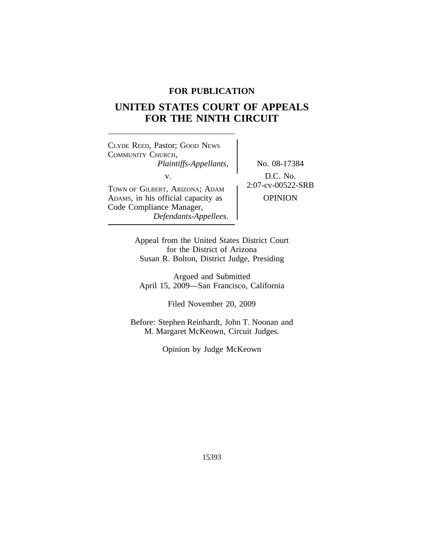# **FOR PUBLICATION**

# **UNITED STATES COURT OF APPEALS FOR THE NINTH CIRCUIT**

<sup>C</sup>LYDE REED, Pastor; GOOD NEWS COMMUNITY CHURCH, *Plaintiffs-Appellants,* No. 08-17384 V.<br>TOWN OF GILBERT, ARIZONA; ADAM 2:07-cv-00522-SRB ADAMS, in his official capacity as <br>  $\qquad$  OPINION Code Compliance Manager,

*Defendants-Appellees.*

Appeal from the United States District Court for the District of Arizona Susan R. Bolton, District Judge, Presiding

Argued and Submitted April 15, 2009—San Francisco, California

Filed November 20, 2009

Before: Stephen Reinhardt, John T. Noonan and M. Margaret McKeown, Circuit Judges.

Opinion by Judge McKeown

15393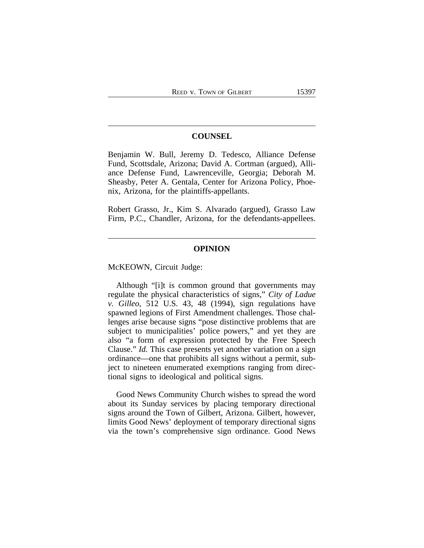## **COUNSEL**

Benjamin W. Bull, Jeremy D. Tedesco, Alliance Defense Fund, Scottsdale, Arizona; David A. Cortman (argued), Alliance Defense Fund, Lawrenceville, Georgia; Deborah M. Sheasby, Peter A. Gentala, Center for Arizona Policy, Phoenix, Arizona, for the plaintiffs-appellants.

Robert Grasso, Jr., Kim S. Alvarado (argued), Grasso Law Firm, P.C., Chandler, Arizona, for the defendants-appellees.

# **OPINION**

McKEOWN, Circuit Judge:

Although "[i]t is common ground that governments may regulate the physical characteristics of signs," *City of Ladue v. Gilleo*, 512 U.S. 43, 48 (1994), sign regulations have spawned legions of First Amendment challenges. Those challenges arise because signs "pose distinctive problems that are subject to municipalities' police powers," and yet they are also "a form of expression protected by the Free Speech Clause." *Id.* This case presents yet another variation on a sign ordinance—one that prohibits all signs without a permit, subject to nineteen enumerated exemptions ranging from directional signs to ideological and political signs.

Good News Community Church wishes to spread the word about its Sunday services by placing temporary directional signs around the Town of Gilbert, Arizona. Gilbert, however, limits Good News' deployment of temporary directional signs via the town's comprehensive sign ordinance. Good News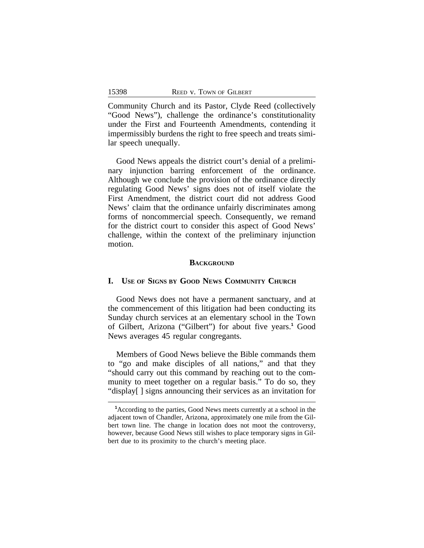Community Church and its Pastor, Clyde Reed (collectively "Good News"), challenge the ordinance's constitutionality under the First and Fourteenth Amendments, contending it impermissibly burdens the right to free speech and treats similar speech unequally.

Good News appeals the district court's denial of a preliminary injunction barring enforcement of the ordinance. Although we conclude the provision of the ordinance directly regulating Good News' signs does not of itself violate the First Amendment, the district court did not address Good News' claim that the ordinance unfairly discriminates among forms of noncommercial speech. Consequently, we remand for the district court to consider this aspect of Good News' challenge, within the context of the preliminary injunction motion.

## **BACKGROUND**

# **I. USE OF SIGNS BY GOOD NEWS COMMUNITY CHURCH**

Good News does not have a permanent sanctuary, and at the commencement of this litigation had been conducting its Sunday church services at an elementary school in the Town of Gilbert, Arizona ("Gilbert") for about five years.**<sup>1</sup>** Good News averages 45 regular congregants.

Members of Good News believe the Bible commands them to "go and make disciples of all nations," and that they "should carry out this command by reaching out to the community to meet together on a regular basis." To do so, they "display[ ] signs announcing their services as an invitation for

**<sup>1</sup>**According to the parties, Good News meets currently at a school in the adjacent town of Chandler, Arizona, approximately one mile from the Gilbert town line. The change in location does not moot the controversy, however, because Good News still wishes to place temporary signs in Gilbert due to its proximity to the church's meeting place.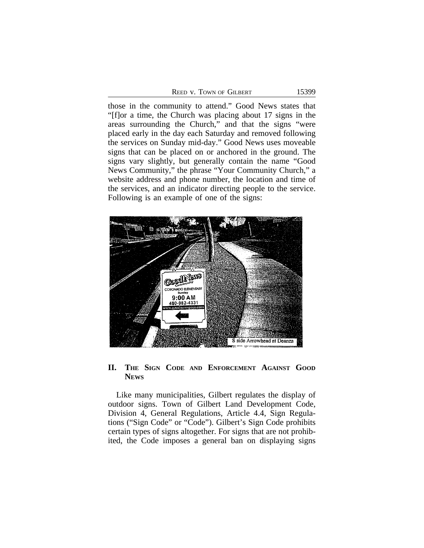| <b>REED V. TOWN OF GILBERT</b> |  |
|--------------------------------|--|
|--------------------------------|--|

15399

those in the community to attend." Good News states that "[f]or a time, the Church was placing about 17 signs in the areas surrounding the Church," and that the signs "were placed early in the day each Saturday and removed following the services on Sunday mid-day." Good News uses moveable signs that can be placed on or anchored in the ground. The signs vary slightly, but generally contain the name "Good News Community," the phrase "Your Community Church," a website address and phone number, the location and time of the services, and an indicator directing people to the service. Following is an example of one of the signs:



# **II. THE SIGN CODE AND ENFORCEMENT AGAINST GOOD NEWS**

Like many municipalities, Gilbert regulates the display of outdoor signs. Town of Gilbert Land Development Code, Division 4, General Regulations, Article 4.4, Sign Regulations ("Sign Code" or "Code"). Gilbert's Sign Code prohibits certain types of signs altogether. For signs that are not prohibited, the Code imposes a general ban on displaying signs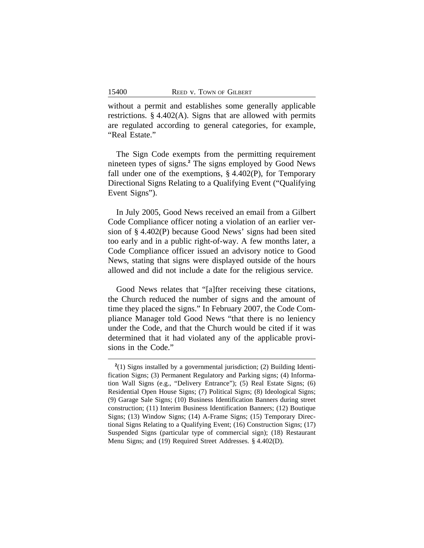without a permit and establishes some generally applicable restrictions. § 4.402(A). Signs that are allowed with permits are regulated according to general categories, for example, "Real Estate."

The Sign Code exempts from the permitting requirement nineteen types of signs.**<sup>2</sup>** The signs employed by Good News fall under one of the exemptions,  $\S$  4.402(P), for Temporary Directional Signs Relating to a Qualifying Event ("Qualifying Event Signs").

In July 2005, Good News received an email from a Gilbert Code Compliance officer noting a violation of an earlier version of § 4.402(P) because Good News' signs had been sited too early and in a public right-of-way. A few months later, a Code Compliance officer issued an advisory notice to Good News, stating that signs were displayed outside of the hours allowed and did not include a date for the religious service.

Good News relates that "[a]fter receiving these citations, the Church reduced the number of signs and the amount of time they placed the signs." In February 2007, the Code Compliance Manager told Good News "that there is no leniency under the Code, and that the Church would be cited if it was determined that it had violated any of the applicable provisions in the Code."

**<sup>2</sup>** (1) Signs installed by a governmental jurisdiction; (2) Building Identification Signs; (3) Permanent Regulatory and Parking signs; (4) Information Wall Signs (e.g., "Delivery Entrance"); (5) Real Estate Signs; (6) Residential Open House Signs; (7) Political Signs; (8) Ideological Signs; (9) Garage Sale Signs; (10) Business Identification Banners during street construction; (11) Interim Business Identification Banners; (12) Boutique Signs; (13) Window Signs; (14) A-Frame Signs; (15) Temporary Directional Signs Relating to a Qualifying Event; (16) Construction Signs; (17) Suspended Signs (particular type of commercial sign); (18) Restaurant Menu Signs; and (19) Required Street Addresses. § 4.402(D).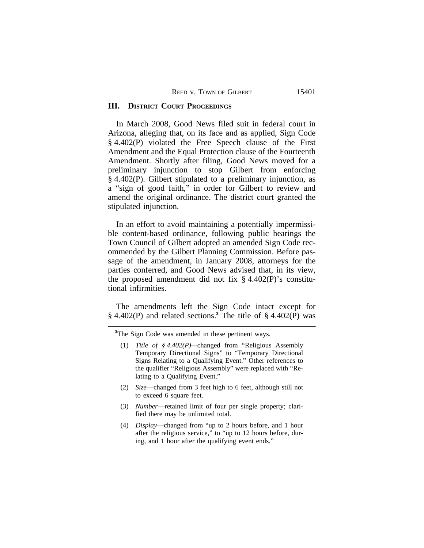|  | REED V. TOWN OF GILBERT |  |
|--|-------------------------|--|
|--|-------------------------|--|

#### **III. DISTRICT COURT PROCEEDINGS**

In March 2008, Good News filed suit in federal court in Arizona, alleging that, on its face and as applied, Sign Code § 4.402(P) violated the Free Speech clause of the First Amendment and the Equal Protection clause of the Fourteenth Amendment. Shortly after filing, Good News moved for a preliminary injunction to stop Gilbert from enforcing § 4.402(P). Gilbert stipulated to a preliminary injunction, as a "sign of good faith," in order for Gilbert to review and amend the original ordinance. The district court granted the stipulated injunction.

In an effort to avoid maintaining a potentially impermissible content-based ordinance, following public hearings the Town Council of Gilbert adopted an amended Sign Code recommended by the Gilbert Planning Commission. Before passage of the amendment, in January 2008, attorneys for the parties conferred, and Good News advised that, in its view, the proposed amendment did not fix  $\S$  4.402(P)'s constitutional infirmities.

The amendments left the Sign Code intact except for § 4.402(P) and related sections.**<sup>3</sup>** The title of § 4.402(P) was

<sup>3</sup>The Sign Code was amended in these pertinent ways.

- (2) *Size*—changed from 3 feet high to 6 feet, although still not to exceed 6 square feet.
- (3) *Number*—retained limit of four per single property; clarified there may be unlimited total.
- (4) *Display*—changed from "up to 2 hours before, and 1 hour after the religious service," to "up to 12 hours before, during, and 1 hour after the qualifying event ends."

<sup>(1)</sup> *Title of § 4.402(P)—*changed from "Religious Assembly Temporary Directional Signs" to "Temporary Directional Signs Relating to a Qualifying Event." Other references to the qualifier "Religious Assembly" were replaced with "Relating to a Qualifying Event."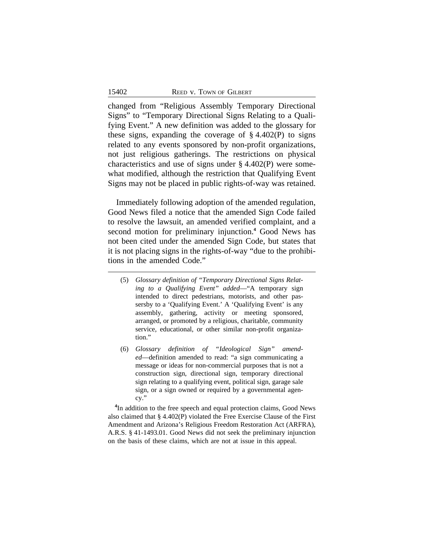changed from "Religious Assembly Temporary Directional Signs" to "Temporary Directional Signs Relating to a Qualifying Event." A new definition was added to the glossary for these signs, expanding the coverage of  $\S$  4.402(P) to signs related to any events sponsored by non-profit organizations, not just religious gatherings. The restrictions on physical characteristics and use of signs under § 4.402(P) were somewhat modified, although the restriction that Qualifying Event Signs may not be placed in public rights-of-way was retained.

Immediately following adoption of the amended regulation, Good News filed a notice that the amended Sign Code failed to resolve the lawsuit, an amended verified complaint, and a second motion for preliminary injunction.<sup>4</sup> Good News has not been cited under the amended Sign Code, but states that it is not placing signs in the rights-of-way "due to the prohibitions in the amended Code."

- (5) *Glossary definition of "Temporary Directional Signs Relating to a Qualifying Event" added*—"A temporary sign intended to direct pedestrians, motorists, and other passersby to a 'Qualifying Event.' A 'Qualifying Event' is any assembly, gathering, activity or meeting sponsored, arranged, or promoted by a religious, charitable, community service, educational, or other similar non-profit organization."
- (6) *Glossary definition of "Ideological Sign" amended*—definition amended to read: "a sign communicating a message or ideas for non-commercial purposes that is not a construction sign, directional sign, temporary directional sign relating to a qualifying event, political sign, garage sale sign, or a sign owned or required by a governmental agency."

<sup>4</sup>In addition to the free speech and equal protection claims, Good News also claimed that § 4.402(P) violated the Free Exercise Clause of the First Amendment and Arizona's Religious Freedom Restoration Act (ARFRA), A.R.S. § 41-1493.01. Good News did not seek the preliminary injunction on the basis of these claims, which are not at issue in this appeal.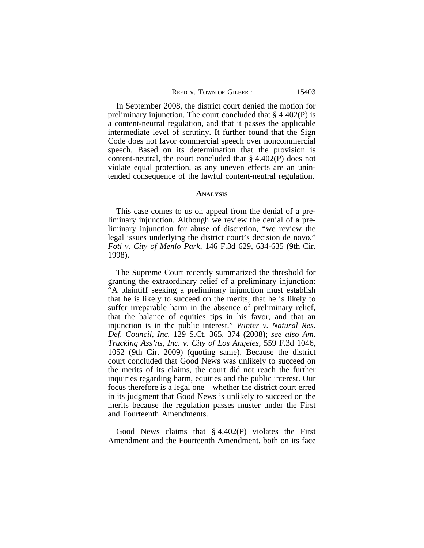| 15403<br>REED V. TOWN OF GILBERT |
|----------------------------------|
|----------------------------------|

In September 2008, the district court denied the motion for preliminary injunction. The court concluded that § 4.402(P) is a content-neutral regulation, and that it passes the applicable intermediate level of scrutiny. It further found that the Sign Code does not favor commercial speech over noncommercial speech. Based on its determination that the provision is content-neutral, the court concluded that § 4.402(P) does not violate equal protection, as any uneven effects are an unintended consequence of the lawful content-neutral regulation.

#### **ANALYSIS**

This case comes to us on appeal from the denial of a preliminary injunction. Although we review the denial of a preliminary injunction for abuse of discretion, "we review the legal issues underlying the district court's decision de novo." *Foti v. City of Menlo Park*, 146 F.3d 629, 634-635 (9th Cir. 1998).

The Supreme Court recently summarized the threshold for granting the extraordinary relief of a preliminary injunction: "A plaintiff seeking a preliminary injunction must establish that he is likely to succeed on the merits, that he is likely to suffer irreparable harm in the absence of preliminary relief, that the balance of equities tips in his favor, and that an injunction is in the public interest." *Winter v. Natural Res. Def. Council, Inc.* 129 S.Ct. 365, 374 (2008); *see also Am. Trucking Ass'ns, Inc. v. City of Los Angeles,* 559 F.3d 1046, 1052 (9th Cir. 2009) (quoting same). Because the district court concluded that Good News was unlikely to succeed on the merits of its claims, the court did not reach the further inquiries regarding harm, equities and the public interest. Our focus therefore is a legal one—whether the district court erred in its judgment that Good News is unlikely to succeed on the merits because the regulation passes muster under the First and Fourteenth Amendments.

Good News claims that § 4.402(P) violates the First Amendment and the Fourteenth Amendment, both on its face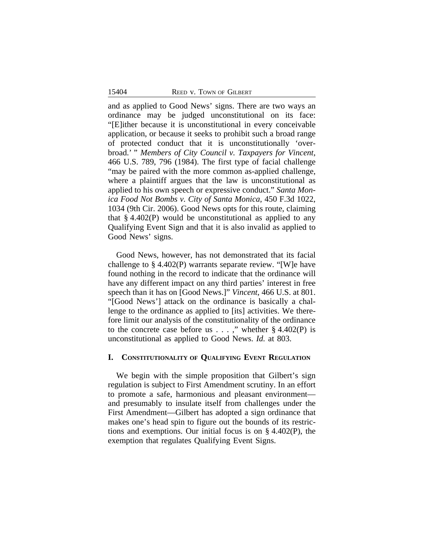and as applied to Good News' signs. There are two ways an ordinance may be judged unconstitutional on its face: "[E]ither because it is unconstitutional in every conceivable application, or because it seeks to prohibit such a broad range of protected conduct that it is unconstitutionally 'overbroad.' " *Members of City Council v. Taxpayers for Vincent*, 466 U.S. 789, 796 (1984). The first type of facial challenge "may be paired with the more common as-applied challenge, where a plaintiff argues that the law is unconstitutional as applied to his own speech or expressive conduct." *Santa Monica Food Not Bombs v. City of Santa Monica*, 450 F.3d 1022, 1034 (9th Cir. 2006). Good News opts for this route, claiming that  $\S 4.402(P)$  would be unconstitutional as applied to any Qualifying Event Sign and that it is also invalid as applied to Good News' signs.

Good News, however, has not demonstrated that its facial challenge to § 4.402(P) warrants separate review. "[W]e have found nothing in the record to indicate that the ordinance will have any different impact on any third parties' interest in free speech than it has on [Good News.]" *Vincent*, 466 U.S. at 801. "[Good News'] attack on the ordinance is basically a challenge to the ordinance as applied to [its] activities. We therefore limit our analysis of the constitutionality of the ordinance to the concrete case before us  $\dots$ ," whether § 4.402(P) is unconstitutional as applied to Good News. *Id.* at 803.

## **I. CONSTITUTIONALITY OF QUALIFYING EVENT REGULATION**

We begin with the simple proposition that Gilbert's sign regulation is subject to First Amendment scrutiny. In an effort to promote a safe, harmonious and pleasant environment and presumably to insulate itself from challenges under the First Amendment—Gilbert has adopted a sign ordinance that makes one's head spin to figure out the bounds of its restrictions and exemptions. Our initial focus is on § 4.402(P), the exemption that regulates Qualifying Event Signs.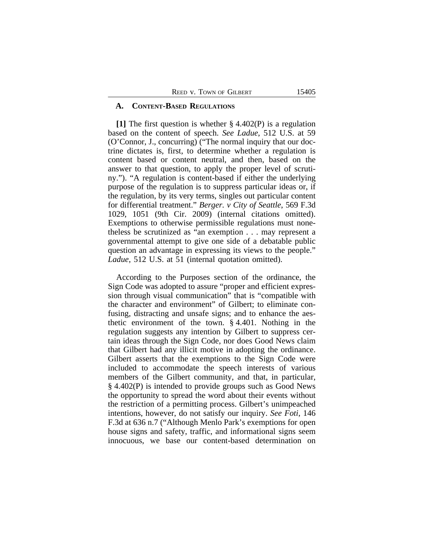#### **A. CONTENT-BASED REGULATIONS**

**[1]** The first question is whether § 4.402(P) is a regulation based on the content of speech. *See Ladue*, 512 U.S. at 59 (O'Connor, J., concurring) ("The normal inquiry that our doctrine dictates is, first, to determine whether a regulation is content based or content neutral, and then, based on the answer to that question, to apply the proper level of scrutiny."). "A regulation is content-based if either the underlying purpose of the regulation is to suppress particular ideas or, if the regulation, by its very terms, singles out particular content for differential treatment." *Berger. v City of Seattle*, 569 F.3d 1029, 1051 (9th Cir. 2009) (internal citations omitted). Exemptions to otherwise permissible regulations must nonetheless be scrutinized as "an exemption . . . may represent a governmental attempt to give one side of a debatable public question an advantage in expressing its views to the people." *Ladue*, 512 U.S. at 51 (internal quotation omitted).

According to the Purposes section of the ordinance, the Sign Code was adopted to assure "proper and efficient expression through visual communication" that is "compatible with the character and environment" of Gilbert; to eliminate confusing, distracting and unsafe signs; and to enhance the aesthetic environment of the town. § 4.401. Nothing in the regulation suggests any intention by Gilbert to suppress certain ideas through the Sign Code, nor does Good News claim that Gilbert had any illicit motive in adopting the ordinance. Gilbert asserts that the exemptions to the Sign Code were included to accommodate the speech interests of various members of the Gilbert community, and that, in particular, § 4.402(P) is intended to provide groups such as Good News the opportunity to spread the word about their events without the restriction of a permitting process. Gilbert's unimpeached intentions, however, do not satisfy our inquiry. *See Foti*, 146 F.3d at 636 n.7 ("Although Menlo Park's exemptions for open house signs and safety, traffic, and informational signs seem innocuous, we base our content-based determination on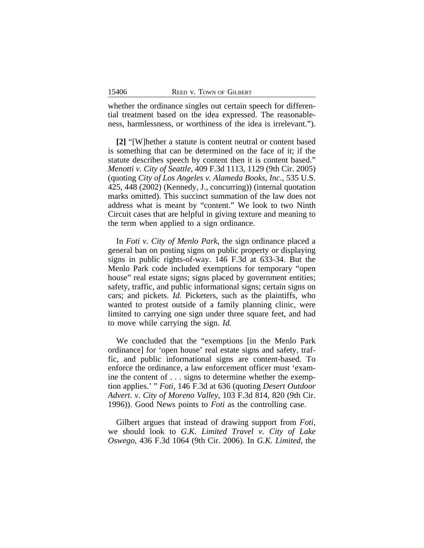whether the ordinance singles out certain speech for differential treatment based on the idea expressed. The reasonableness, harmlessness, or worthiness of the idea is irrelevant.").

**[2]** "[W]hether a statute is content neutral or content based is something that can be determined on the face of it; if the statute describes speech by content then it is content based." *Menotti v. City of Seattle*, 409 F.3d 1113, 1129 (9th Cir. 2005) (quoting *City of Los Angeles v. Alameda Books, Inc.,* 535 U.S. 425, 448 (2002) (Kennedy, J., concurring)) (internal quotation marks omitted). This succinct summation of the law does not address what is meant by "content." We look to two Ninth Circuit cases that are helpful in giving texture and meaning to the term when applied to a sign ordinance.

In *Foti v. City of Menlo Park*, the sign ordinance placed a general ban on posting signs on public property or displaying signs in public rights-of-way. 146 F.3d at 633-34. But the Menlo Park code included exemptions for temporary "open house" real estate signs; signs placed by government entities; safety, traffic, and public informational signs; certain signs on cars; and pickets. *Id.* Picketers, such as the plaintiffs, who wanted to protest outside of a family planning clinic, were limited to carrying one sign under three square feet, and had to move while carrying the sign. *Id.* 

We concluded that the "exemptions [in the Menlo Park ordinance] for 'open house' real estate signs and safety, traffic, and public informational signs are content-based. To enforce the ordinance, a law enforcement officer must 'examine the content of . . . signs to determine whether the exemption applies.' " *Foti,* 146 F.3d at 636 (quoting *Desert Outdoor Advert. v. City of Moreno Valley*, 103 F.3d 814, 820 (9th Cir. 1996)). Good News points to *Foti* as the controlling case.

Gilbert argues that instead of drawing support from *Foti*, we should look to *G.K. Limited Travel v. City of Lake Oswego*, 436 F.3d 1064 (9th Cir. 2006). In *G.K. Limited,* the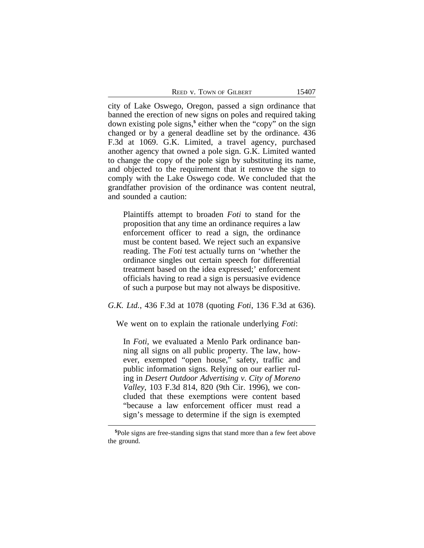|  | REED V. TOWN OF GILBERT |  |
|--|-------------------------|--|
|--|-------------------------|--|

city of Lake Oswego, Oregon, passed a sign ordinance that banned the erection of new signs on poles and required taking down existing pole signs,<sup>5</sup> either when the "copy" on the sign changed or by a general deadline set by the ordinance. 436 F.3d at 1069. G.K. Limited, a travel agency, purchased another agency that owned a pole sign. G.K. Limited wanted to change the copy of the pole sign by substituting its name, and objected to the requirement that it remove the sign to comply with the Lake Oswego code. We concluded that the grandfather provision of the ordinance was content neutral, and sounded a caution:

Plaintiffs attempt to broaden *Foti* to stand for the proposition that any time an ordinance requires a law enforcement officer to read a sign, the ordinance must be content based. We reject such an expansive reading. The *Foti* test actually turns on 'whether the ordinance singles out certain speech for differential treatment based on the idea expressed;' enforcement officials having to read a sign is persuasive evidence of such a purpose but may not always be dispositive.

## *G.K. Ltd.*, 436 F.3d at 1078 (quoting *Foti*, 136 F.3d at 636).

We went on to explain the rationale underlying *Foti*:

In *Foti,* we evaluated a Menlo Park ordinance banning all signs on all public property. The law, however, exempted "open house," safety, traffic and public information signs. Relying on our earlier ruling in *Desert Outdoor Advertising v. City of Moreno Valley,* 103 F.3d 814, 820 (9th Cir. 1996), we concluded that these exemptions were content based "because a law enforcement officer must read a sign's message to determine if the sign is exempted

**<sup>5</sup>**Pole signs are free-standing signs that stand more than a few feet above the ground.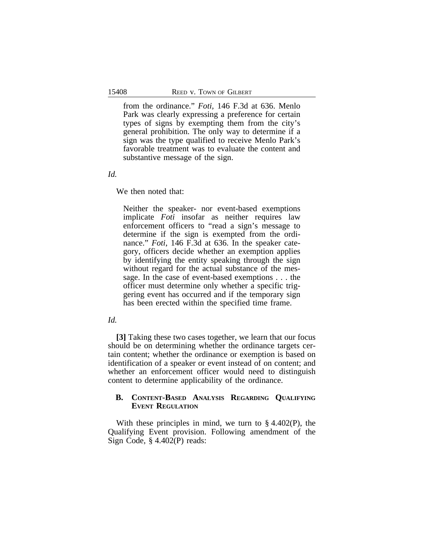from the ordinance." *Foti,* 146 F.3d at 636. Menlo Park was clearly expressing a preference for certain types of signs by exempting them from the city's general prohibition. The only way to determine if a sign was the type qualified to receive Menlo Park's favorable treatment was to evaluate the content and substantive message of the sign.

*Id.*

We then noted that:

Neither the speaker- nor event-based exemptions implicate *Foti* insofar as neither requires law enforcement officers to "read a sign's message to determine if the sign is exempted from the ordinance." *Foti*, 146 F.3d at 636. In the speaker category, officers decide whether an exemption applies by identifying the entity speaking through the sign without regard for the actual substance of the message. In the case of event-based exemptions . . . the officer must determine only whether a specific triggering event has occurred and if the temporary sign has been erected within the specified time frame.

*Id.*

**[3]** Taking these two cases together, we learn that our focus should be on determining whether the ordinance targets certain content; whether the ordinance or exemption is based on identification of a speaker or event instead of on content; and whether an enforcement officer would need to distinguish content to determine applicability of the ordinance.

# **B. CONTENT-BASED ANALYSIS REGARDING QUALIFYING EVENT REGULATION**

With these principles in mind, we turn to  $\S$  4.402(P), the Qualifying Event provision. Following amendment of the Sign Code, § 4.402(P) reads: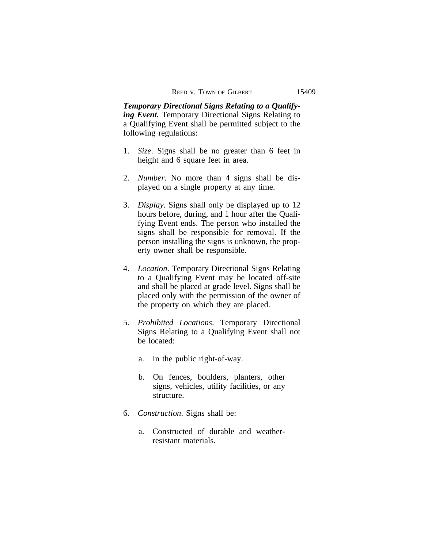*Temporary Directional Signs Relating to a Qualifying Event.* Temporary Directional Signs Relating to a Qualifying Event shall be permitted subject to the following regulations:

- 1. *Size*. Signs shall be no greater than 6 feet in height and 6 square feet in area.
- 2. *Number*. No more than 4 signs shall be displayed on a single property at any time.
- 3. *Display*. Signs shall only be displayed up to 12 hours before, during, and 1 hour after the Qualifying Event ends. The person who installed the signs shall be responsible for removal. If the person installing the signs is unknown, the property owner shall be responsible.
- 4. *Location*. Temporary Directional Signs Relating to a Qualifying Event may be located off-site and shall be placed at grade level. Signs shall be placed only with the permission of the owner of the property on which they are placed.
- 5. *Prohibited Locations*. Temporary Directional Signs Relating to a Qualifying Event shall not be located:
	- a. In the public right-of-way.
	- b. On fences, boulders, planters, other signs, vehicles, utility facilities, or any structure.
- 6. *Construction*. Signs shall be:
	- a. Constructed of durable and weatherresistant materials.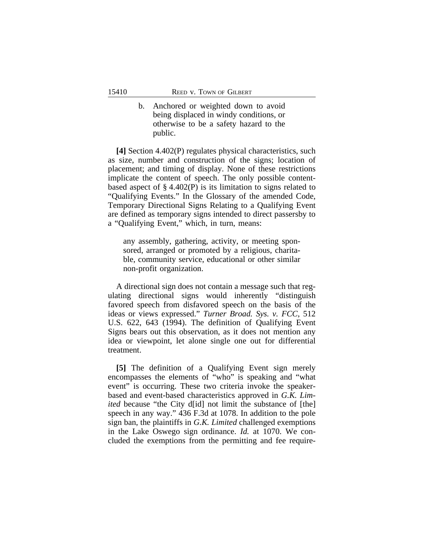b. Anchored or weighted down to avoid being displaced in windy conditions, or otherwise to be a safety hazard to the public.

**[4]** Section 4.402(P) regulates physical characteristics, such as size, number and construction of the signs; location of placement; and timing of display. None of these restrictions implicate the content of speech. The only possible contentbased aspect of § 4.402(P) is its limitation to signs related to "Qualifying Events." In the Glossary of the amended Code, Temporary Directional Signs Relating to a Qualifying Event are defined as temporary signs intended to direct passersby to a "Qualifying Event," which, in turn, means:

any assembly, gathering, activity, or meeting sponsored, arranged or promoted by a religious, charitable, community service, educational or other similar non-profit organization.

A directional sign does not contain a message such that regulating directional signs would inherently "distinguish favored speech from disfavored speech on the basis of the ideas or views expressed." *Turner Broad. Sys. v. FCC*, 512 U.S. 622, 643 (1994). The definition of Qualifying Event Signs bears out this observation, as it does not mention any idea or viewpoint, let alone single one out for differential treatment.

**[5]** The definition of a Qualifying Event sign merely encompasses the elements of "who" is speaking and "what event" is occurring. These two criteria invoke the speakerbased and event-based characteristics approved in *G.K. Limited* because "the City d<sup>[id]</sup> not limit the substance of [the] speech in any way." 436 F.3d at 1078. In addition to the pole sign ban, the plaintiffs in *G.K. Limited* challenged exemptions in the Lake Oswego sign ordinance. *Id.* at 1070. We concluded the exemptions from the permitting and fee require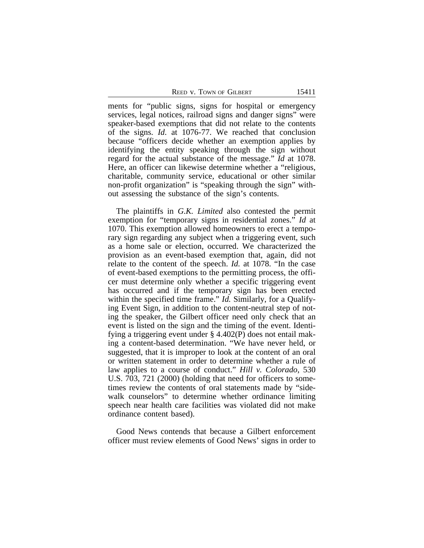REED V. TOWN OF GILBERT 15411

ments for "public signs, signs for hospital or emergency services, legal notices, railroad signs and danger signs" were speaker-based exemptions that did not relate to the contents of the signs. *Id*. at 1076-77. We reached that conclusion because "officers decide whether an exemption applies by identifying the entity speaking through the sign without regard for the actual substance of the message." *Id* at 1078. Here, an officer can likewise determine whether a "religious, charitable, community service, educational or other similar non-profit organization" is "speaking through the sign" without assessing the substance of the sign's contents.

The plaintiffs in *G.K. Limited* also contested the permit exemption for "temporary signs in residential zones." *Id* at 1070. This exemption allowed homeowners to erect a temporary sign regarding any subject when a triggering event, such as a home sale or election, occurred. We characterized the provision as an event-based exemption that, again, did not relate to the content of the speech. *Id.* at 1078. "In the case of event-based exemptions to the permitting process, the officer must determine only whether a specific triggering event has occurred and if the temporary sign has been erected within the specified time frame." *Id.* Similarly, for a Qualifying Event Sign, in addition to the content-neutral step of noting the speaker, the Gilbert officer need only check that an event is listed on the sign and the timing of the event. Identifying a triggering event under § 4.402(P) does not entail making a content-based determination. "We have never held, or suggested, that it is improper to look at the content of an oral or written statement in order to determine whether a rule of law applies to a course of conduct." *Hill v. Colorado*, 530 U.S. 703, 721 (2000) (holding that need for officers to sometimes review the contents of oral statements made by "sidewalk counselors" to determine whether ordinance limiting speech near health care facilities was violated did not make ordinance content based).

Good News contends that because a Gilbert enforcement officer must review elements of Good News' signs in order to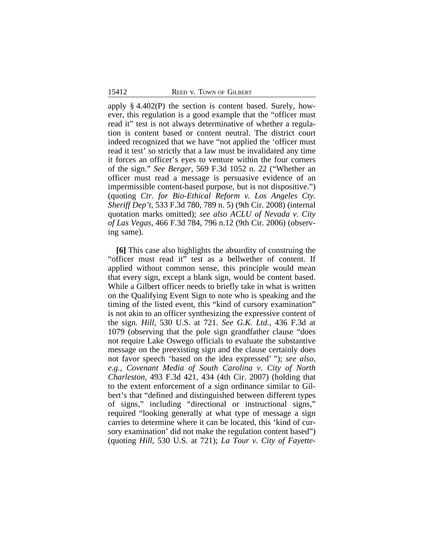apply § 4.402(P) the section is content based. Surely, however, this regulation is a good example that the "officer must read it" test is not always determinative of whether a regulation is content based or content neutral. The district court indeed recognized that we have "not applied the 'officer must read it test' so strictly that a law must be invalidated any time it forces an officer's eyes to venture within the four corners of the sign." *See Berger*, 569 F.3d 1052 n. 22 ("Whether an officer must read a message is persuasive evidence of an impermissible content-based purpose, but is not dispositive.") (quoting *Ctr. for Bio-Ethical Reform v. Los Angeles Cty. Sheriff Dep't,* 533 F.3d 780, 789 n. 5) (9th Cir. 2008) (internal quotation marks omitted); *see also ACLU of Nevada v. City of Las Vegas*, 466 F.3d 784, 796 n.12 (9th Cir. 2006) (observing same).

**[6]** This case also highlights the absurdity of construing the "officer must read it" test as a bellwether of content. If applied without common sense, this principle would mean that every sign, except a blank sign, would be content based. While a Gilbert officer needs to briefly take in what is written on the Qualifying Event Sign to note who is speaking and the timing of the listed event, this "kind of cursory examination" is not akin to an officer synthesizing the expressive content of the sign. *Hill*, 530 U.S. at 721. *See G.K. Ltd.*, 436 F.3d at 1079 (observing that the pole sign grandfather clause "does not require Lake Oswego officials to evaluate the substantive message on the preexisting sign and the clause certainly does not favor speech 'based on the idea expressed' "); *see also, e.g., Covenant Media of South Carolina v. City of North Charleston*, 493 F.3d 421, 434 (4th Cir. 2007) (holding that to the extent enforcement of a sign ordinance similar to Gilbert's that "defined and distinguished between different types of signs," including "directional or instructional signs," required "looking generally at what type of message a sign carries to determine where it can be located, this 'kind of cursory examination' did not make the regulation content based") (quoting *Hill*, 530 U.S. at 721); *La Tour v. City of Fayette-*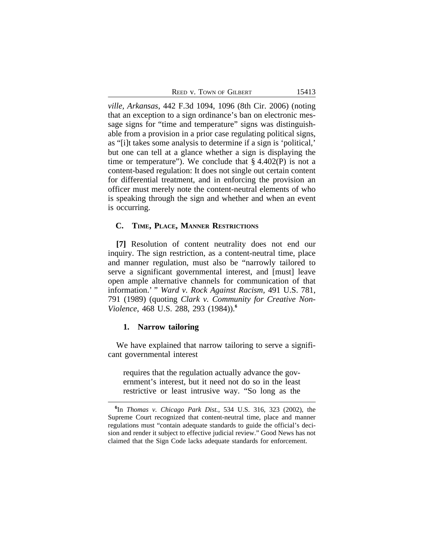| REED V. TOWN OF GILBERT | 15413 |
|-------------------------|-------|
|                         |       |

*ville, Arkansas*, 442 F.3d 1094, 1096 (8th Cir. 2006) (noting that an exception to a sign ordinance's ban on electronic message signs for "time and temperature" signs was distinguishable from a provision in a prior case regulating political signs, as "[i]t takes some analysis to determine if a sign is 'political,' but one can tell at a glance whether a sign is displaying the time or temperature"). We conclude that  $\S$  4.402(P) is not a content-based regulation: It does not single out certain content for differential treatment, and in enforcing the provision an officer must merely note the content-neutral elements of who is speaking through the sign and whether and when an event is occurring.

#### **C. TIME, PLACE, MANNER RESTRICTIONS**

**[7]** Resolution of content neutrality does not end our inquiry. The sign restriction, as a content-neutral time, place and manner regulation, must also be "narrowly tailored to serve a significant governmental interest, and [must] leave open ample alternative channels for communication of that information.' " *Ward v. Rock Against Racism,* 491 U.S. 781, 791 (1989) (quoting *Clark v. Community for Creative Non-Violence*, 468 U.S. 288, 293 (1984)).**<sup>6</sup>**

## **1. Narrow tailoring**

We have explained that narrow tailoring to serve a significant governmental interest

requires that the regulation actually advance the government's interest, but it need not do so in the least restrictive or least intrusive way. "So long as the

**<sup>6</sup>** In *Thomas v. Chicago Park Dist.*, 534 U.S. 316, 323 (2002), the Supreme Court recognized that content-neutral time, place and manner regulations must "contain adequate standards to guide the official's decision and render it subject to effective judicial review." Good News has not claimed that the Sign Code lacks adequate standards for enforcement.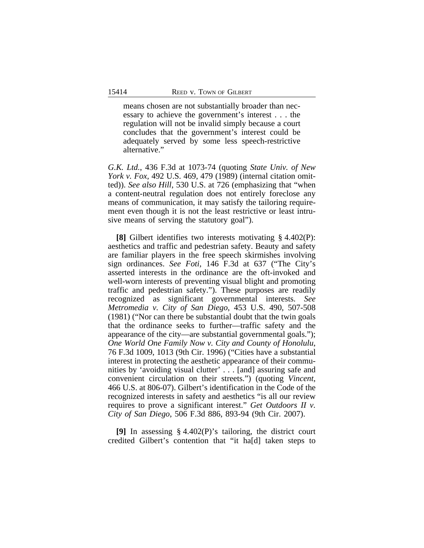means chosen are not substantially broader than necessary to achieve the government's interest . . . the regulation will not be invalid simply because a court concludes that the government's interest could be adequately served by some less speech-restrictive alternative."

*G.K. Ltd.*, 436 F.3d at 1073-74 (quoting *State Univ. of New York v. Fox,* 492 U.S. 469, 479 (1989) (internal citation omitted)). *See also Hill*, 530 U.S. at 726 (emphasizing that "when a content-neutral regulation does not entirely foreclose any means of communication, it may satisfy the tailoring requirement even though it is not the least restrictive or least intrusive means of serving the statutory goal").

**[8]** Gilbert identifies two interests motivating § 4.402(P): aesthetics and traffic and pedestrian safety. Beauty and safety are familiar players in the free speech skirmishes involving sign ordinances. *See Foti*, 146 F.3d at 637 ("The City's asserted interests in the ordinance are the oft-invoked and well-worn interests of preventing visual blight and promoting traffic and pedestrian safety."). These purposes are readily recognized as significant governmental interests. *See Metromedia v. City of San Diego*, 453 U.S. 490, 507-508 (1981) ("Nor can there be substantial doubt that the twin goals that the ordinance seeks to further—traffic safety and the appearance of the city—are substantial governmental goals."); *One World One Family Now v. City and County of Honolulu*, 76 F.3d 1009, 1013 (9th Cir. 1996) ("Cities have a substantial interest in protecting the aesthetic appearance of their communities by 'avoiding visual clutter' . . . [and] assuring safe and convenient circulation on their streets.") (quoting *Vincent*, 466 U.S. at 806-07). Gilbert's identification in the Code of the recognized interests in safety and aesthetics "is all our review requires to prove a significant interest." *Get Outdoors II v. City of San Diego*, 506 F.3d 886, 893-94 (9th Cir. 2007).

**[9]** In assessing § 4.402(P)'s tailoring, the district court credited Gilbert's contention that "it ha[d] taken steps to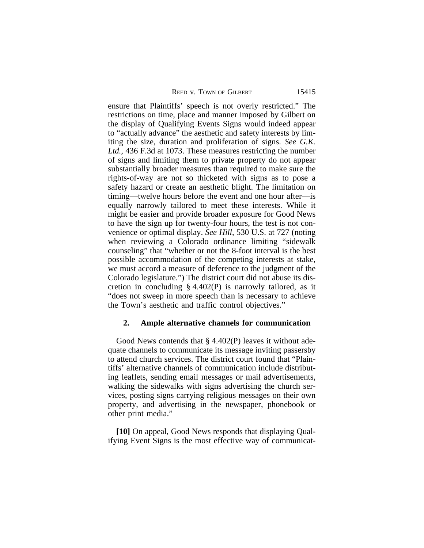|  | <b>REED V. TOWN OF GILBERT</b> |  |
|--|--------------------------------|--|
|--|--------------------------------|--|

ensure that Plaintiffs' speech is not overly restricted." The restrictions on time, place and manner imposed by Gilbert on the display of Qualifying Events Signs would indeed appear to "actually advance" the aesthetic and safety interests by limiting the size, duration and proliferation of signs. *See G.K. Ltd.*, 436 F.3d at 1073. These measures restricting the number of signs and limiting them to private property do not appear substantially broader measures than required to make sure the rights-of-way are not so thicketed with signs as to pose a safety hazard or create an aesthetic blight. The limitation on timing—twelve hours before the event and one hour after—is equally narrowly tailored to meet these interests. While it might be easier and provide broader exposure for Good News to have the sign up for twenty-four hours, the test is not convenience or optimal display. *See Hill*, 530 U.S. at 727 (noting when reviewing a Colorado ordinance limiting "sidewalk counseling" that "whether or not the 8-foot interval is the best possible accommodation of the competing interests at stake, we must accord a measure of deference to the judgment of the Colorado legislature.") The district court did not abuse its discretion in concluding § 4.402(P) is narrowly tailored, as it "does not sweep in more speech than is necessary to achieve the Town's aesthetic and traffic control objectives."

#### **2. Ample alternative channels for communication**

Good News contends that § 4.402(P) leaves it without adequate channels to communicate its message inviting passersby to attend church services. The district court found that "Plaintiffs' alternative channels of communication include distributing leaflets, sending email messages or mail advertisements, walking the sidewalks with signs advertising the church services, posting signs carrying religious messages on their own property, and advertising in the newspaper, phonebook or other print media."

**[10]** On appeal, Good News responds that displaying Qualifying Event Signs is the most effective way of communicat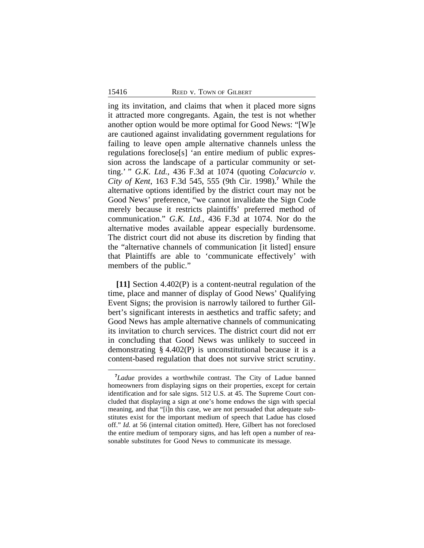ing its invitation, and claims that when it placed more signs it attracted more congregants. Again, the test is not whether another option would be more optimal for Good News: "[W]e are cautioned against invalidating government regulations for failing to leave open ample alternative channels unless the regulations foreclose[s] 'an entire medium of public expression across the landscape of a particular community or setting.' " *G.K. Ltd.*, 436 F.3d at 1074 (quoting *Colacurcio v. City of Kent*, 163 F.3d 545, 555 (9th Cir. 1998).**<sup>7</sup>** While the alternative options identified by the district court may not be Good News' preference, "we cannot invalidate the Sign Code merely because it restricts plaintiffs' preferred method of communication." *G.K. Ltd.*, 436 F.3d at 1074. Nor do the alternative modes available appear especially burdensome. The district court did not abuse its discretion by finding that the "alternative channels of communication [it listed] ensure that Plaintiffs are able to 'communicate effectively' with members of the public."

**[11]** Section 4.402(P) is a content-neutral regulation of the time, place and manner of display of Good News' Qualifying Event Signs; the provision is narrowly tailored to further Gilbert's significant interests in aesthetics and traffic safety; and Good News has ample alternative channels of communicating its invitation to church services. The district court did not err in concluding that Good News was unlikely to succeed in demonstrating § 4.402(P) is unconstitutional because it is a content-based regulation that does not survive strict scrutiny.

**<sup>7</sup>***Ladue* provides a worthwhile contrast. The City of Ladue banned homeowners from displaying signs on their properties, except for certain identification and for sale signs. 512 U.S. at 45. The Supreme Court concluded that displaying a sign at one's home endows the sign with special meaning, and that "[i]n this case, we are not persuaded that adequate substitutes exist for the important medium of speech that Ladue has closed off." *Id.* at 56 (internal citation omitted). Here, Gilbert has not foreclosed the entire medium of temporary signs, and has left open a number of reasonable substitutes for Good News to communicate its message.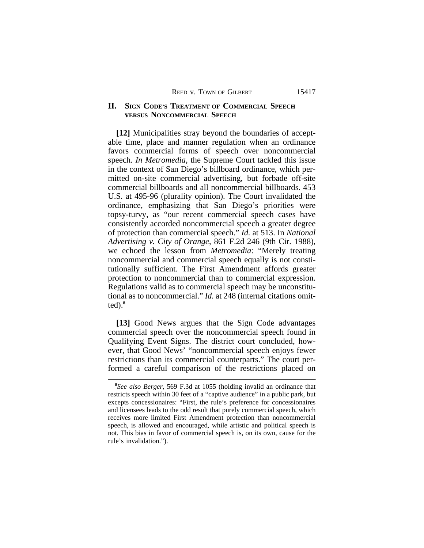# **II. SIGN CODE'S TREATMENT OF COMMERCIAL SPEECH vERSUS NONCOMMERCIAL SPEECH**

**[12]** Municipalities stray beyond the boundaries of acceptable time, place and manner regulation when an ordinance favors commercial forms of speech over noncommercial speech. *In Metromedia*, the Supreme Court tackled this issue in the context of San Diego's billboard ordinance, which permitted on-site commercial advertising, but forbade off-site commercial billboards and all noncommercial billboards. 453 U.S. at 495-96 (plurality opinion). The Court invalidated the ordinance, emphasizing that San Diego's priorities were topsy-turvy, as "our recent commercial speech cases have consistently accorded noncommercial speech a greater degree of protection than commercial speech." *Id.* at 513. In *National Advertising v. City of Orange*, 861 F.2d 246 (9th Cir. 1988), we echoed the lesson from *Metromedia*: "Merely treating noncommercial and commercial speech equally is not constitutionally sufficient. The First Amendment affords greater protection to noncommercial than to commercial expression. Regulations valid as to commercial speech may be unconstitutional as to noncommercial." *Id.* at 248 (internal citations omitted).**<sup>8</sup>**

**[13]** Good News argues that the Sign Code advantages commercial speech over the noncommercial speech found in Qualifying Event Signs. The district court concluded, however, that Good News' "noncommercial speech enjoys fewer restrictions than its commercial counterparts." The court performed a careful comparison of the restrictions placed on

**<sup>8</sup>** *See also Berger*, 569 F.3d at 1055 (holding invalid an ordinance that restricts speech within 30 feet of a "captive audience" in a public park, but excepts concessionaires: "First, the rule's preference for concessionaires and licensees leads to the odd result that purely commercial speech, which receives more limited First Amendment protection than noncommercial speech, is allowed and encouraged, while artistic and political speech is not. This bias in favor of commercial speech is, on its own, cause for the rule's invalidation.").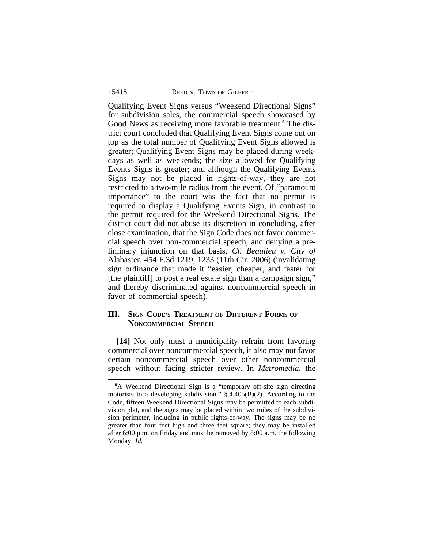Qualifying Event Signs versus "Weekend Directional Signs" for subdivision sales, the commercial speech showcased by Good News as receiving more favorable treatment.**<sup>9</sup>** The district court concluded that Qualifying Event Signs come out on top as the total number of Qualifying Event Signs allowed is greater; Qualifying Event Signs may be placed during weekdays as well as weekends; the size allowed for Qualifying Events Signs is greater; and although the Qualifying Events Signs may not be placed in rights-of-way, they are not restricted to a two-mile radius from the event. Of "paramount importance" to the court was the fact that no permit is required to display a Qualifying Events Sign, in contrast to the permit required for the Weekend Directional Signs. The district court did not abuse its discretion in concluding, after close examination, that the Sign Code does not favor commercial speech over non-commercial speech, and denying a preliminary injunction on that basis. *Cf. Beaulieu v. City of* Alabaster, 454 F.3d 1219, 1233 (11th Cir. 2006) (invalidating sign ordinance that made it "easier, cheaper, and faster for [the plaintiff] to post a real estate sign than a campaign sign," and thereby discriminated against noncommercial speech in favor of commercial speech).

# **III. SIGN CODE'S TREATMENT OF DIFFERENT FORMS OF NONCOMMERCIAL SPEECH**

**[14]** Not only must a municipality refrain from favoring commercial over noncommercial speech, it also may not favor certain noncommercial speech over other noncommercial speech without facing stricter review. In *Metromedia*, the

<sup>&</sup>lt;sup>9</sup>A Weekend Directional Sign is a "temporary off-site sign directing motorists to a developing subdivision."  $\S$  4.405(B)(2). According to the Code, fifteen Weekend Directional Signs may be permitted to each subdivision plat, and the signs may be placed within two miles of the subdivision perimeter, including in public rights-of-way. The signs may be no greater than four feet high and three feet square; they may be installed after 6:00 p.m. on Friday and must be removed by 8:00 a.m. the following Monday. *Id.*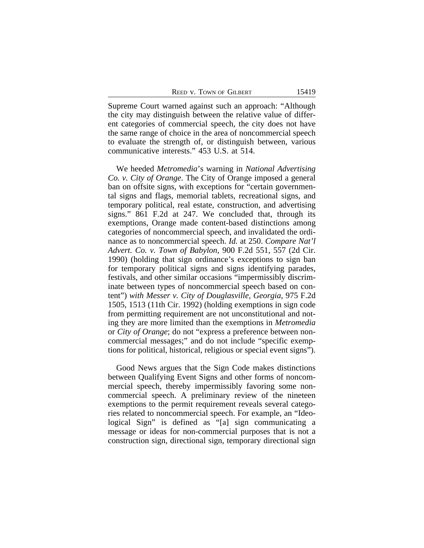Supreme Court warned against such an approach: "Although the city may distinguish between the relative value of different categories of commercial speech, the city does not have the same range of choice in the area of noncommercial speech to evaluate the strength of, or distinguish between, various communicative interests." 453 U.S. at 514.

We heeded *Metromedia*'s warning in *National Advertising Co. v. City of Orange*. The City of Orange imposed a general ban on offsite signs, with exceptions for "certain governmental signs and flags, memorial tablets, recreational signs, and temporary political, real estate, construction, and advertising signs." 861 F.2d at 247. We concluded that, through its exemptions, Orange made content-based distinctions among categories of noncommercial speech, and invalidated the ordinance as to noncommercial speech. *Id.* at 250. *Compare Nat'l Advert. Co. v. Town of Babylon*, 900 F.2d 551, 557 (2d Cir. 1990) (holding that sign ordinance's exceptions to sign ban for temporary political signs and signs identifying parades, festivals, and other similar occasions "impermissibly discriminate between types of noncommercial speech based on content") *with Messer v. City of Douglasville, Georgia*, 975 F.2d 1505, 1513 (11th Cir. 1992) (holding exemptions in sign code from permitting requirement are not unconstitutional and noting they are more limited than the exemptions in *Metromedia* or *City of Orange*; do not "express a preference between noncommercial messages;" and do not include "specific exemptions for political, historical, religious or special event signs").

Good News argues that the Sign Code makes distinctions between Qualifying Event Signs and other forms of noncommercial speech, thereby impermissibly favoring some noncommercial speech. A preliminary review of the nineteen exemptions to the permit requirement reveals several categories related to noncommercial speech. For example, an "Ideological Sign" is defined as "[a] sign communicating a message or ideas for non-commercial purposes that is not a construction sign, directional sign, temporary directional sign